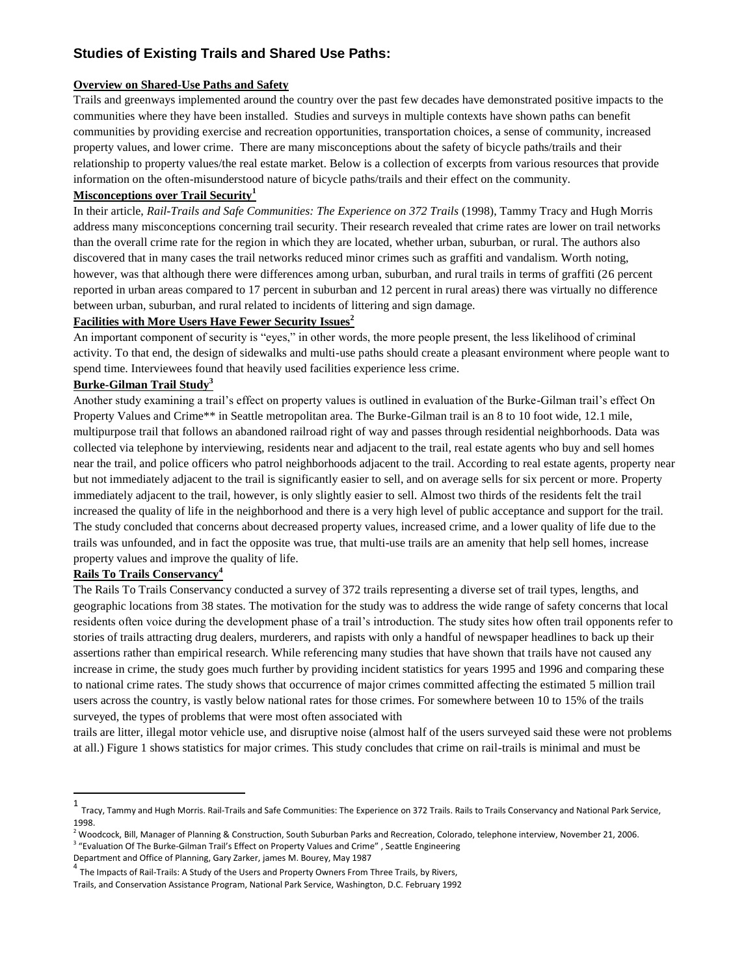# **Studies of Existing Trails and Shared Use Paths:**

### **Overview on Shared-Use Paths and Safety**

Trails and greenways implemented around the country over the past few decades have demonstrated positive impacts to the communities where they have been installed. Studies and surveys in multiple contexts have shown paths can benefit communities by providing exercise and recreation opportunities, transportation choices, a sense of community, increased property values, and lower crime. There are many misconceptions about the safety of bicycle paths/trails and their relationship to property values/the real estate market. Below is a collection of excerpts from various resources that provide information on the often-misunderstood nature of bicycle paths/trails and their effect on the community.

### **Misconceptions over Trail Security<sup>1</sup>**

In their article, *Rail-Trails and Safe Communities: The Experience on 372 Trails* (1998), Tammy Tracy and Hugh Morris address many misconceptions concerning trail security. Their research revealed that crime rates are lower on trail networks than the overall crime rate for the region in which they are located, whether urban, suburban, or rural. The authors also discovered that in many cases the trail networks reduced minor crimes such as graffiti and vandalism. Worth noting, however, was that although there were differences among urban, suburban, and rural trails in terms of graffiti (26 percent reported in urban areas compared to 17 percent in suburban and 12 percent in rural areas) there was virtually no difference between urban, suburban, and rural related to incidents of littering and sign damage.

### **Facilities with More Users Have Fewer Security Issues<sup>2</sup>**

An important component of security is "eyes," in other words, the more people present, the less likelihood of criminal activity. To that end, the design of sidewalks and multi-use paths should create a pleasant environment where people want to spend time. Interviewees found that heavily used facilities experience less crime.

## **Burke-Gilman Trail Study<sup>3</sup>**

Another study examining a trail's effect on property values is outlined in evaluation of the Burke-Gilman trail's effect On Property Values and Crime\*\* in Seattle metropolitan area. The Burke-Gilman trail is an 8 to 10 foot wide, 12.1 mile, multipurpose trail that follows an abandoned railroad right of way and passes through residential neighborhoods. Data was collected via telephone by interviewing, residents near and adjacent to the trail, real estate agents who buy and sell homes near the trail, and police officers who patrol neighborhoods adjacent to the trail. According to real estate agents, property near but not immediately adjacent to the trail is significantly easier to sell, and on average sells for six percent or more. Property immediately adjacent to the trail, however, is only slightly easier to sell. Almost two thirds of the residents felt the trail increased the quality of life in the neighborhood and there is a very high level of public acceptance and support for the trail. The study concluded that concerns about decreased property values, increased crime, and a lower quality of life due to the trails was unfounded, and in fact the opposite was true, that multi-use trails are an amenity that help sell homes, increase property values and improve the quality of life.

## **Rails To Trails Conservancy<sup>4</sup>**

 $\overline{a}$ 

The Rails To Trails Conservancy conducted a survey of 372 trails representing a diverse set of trail types, lengths, and geographic locations from 38 states. The motivation for the study was to address the wide range of safety concerns that local residents often voice during the development phase of a trail's introduction. The study sites how often trail opponents refer to stories of trails attracting drug dealers, murderers, and rapists with only a handful of newspaper headlines to back up their assertions rather than empirical research. While referencing many studies that have shown that trails have not caused any increase in crime, the study goes much further by providing incident statistics for years 1995 and 1996 and comparing these to national crime rates. The study shows that occurrence of major crimes committed affecting the estimated 5 million trail users across the country, is vastly below national rates for those crimes. For somewhere between 10 to 15% of the trails surveyed, the types of problems that were most often associated with

trails are litter, illegal motor vehicle use, and disruptive noise (almost half of the users surveyed said these were not problems at all.) Figure 1 shows statistics for major crimes. This study concludes that crime on rail-trails is minimal and must be

<sup>1</sup> Tracy, Tammy and Hugh Morris. Rail-Trails and Safe Communities: The Experience on 372 Trails. Rails to Trails Conservancy and National Park Service, 1998.

<sup>2</sup> Woodcock, Bill, Manager of Planning & Construction, South Suburban Parks and Recreation, Colorado, telephone interview, November 21, 2006.

<sup>&</sup>lt;sup>3</sup> "Evaluation Of The Burke-Gilman Trail's Effect on Property Values and Crime", Seattle Engineering Department and Office of Planning, Gary Zarker, james M. Bourey, May 1987

 $^4$  The Impacts of Rail-Trails: A Study of the Users and Property Owners From Three Trails, by Rivers,

Trails, and Conservation Assistance Program, National Park Service, Washington, D.C. February 1992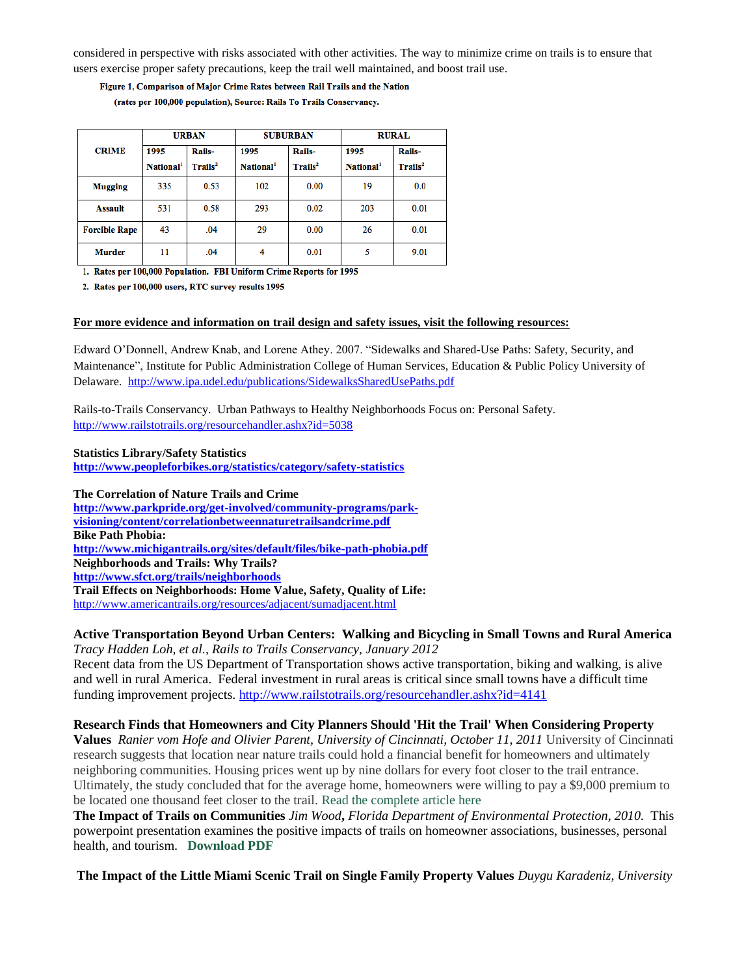considered in perspective with risks associated with other activities. The way to minimize crime on trails is to ensure that users exercise proper safety precautions, keep the trail well maintained, and boost trail use.

Figure 1, Comparison of Major Crime Rates between Rail Trails and the Nation (rates per 100,000 population), Source: Rails To Trails Conservancy.

|                      | <b>URBAN</b>          |                     | <b>SUBURBAN</b>       |                     | <b>RURAL</b>          |                     |
|----------------------|-----------------------|---------------------|-----------------------|---------------------|-----------------------|---------------------|
| <b>CRIME</b>         | 1995                  | <b>Rails-</b>       | 1995                  | Rails-              | 1995                  | Rails-              |
|                      | National <sup>1</sup> | Trails <sup>2</sup> | National <sup>1</sup> | Trails <sup>2</sup> | National <sup>1</sup> | Trails <sup>2</sup> |
| <b>Mugging</b>       | 335                   | 0.53                | 102                   | 0.00                | 19                    | 0.0                 |
| <b>Assault</b>       | 531                   | 0.58                | 293                   | 0.02                | 203                   | 0.01                |
| <b>Forcible Rape</b> | 43                    | .04                 | 29                    | 0.00                | 26                    | 0.01                |
| <b>Murder</b>        | 11                    | .04                 | 4                     | 0.01                | 5                     | 9.01                |

1. Rates per 100,000 Population. FBI Uniform Crime Reports for 1995

2. Rates per 100,000 users, RTC survey results 1995

#### **For more evidence and information on trail design and safety issues, visit the following resources:**

Edward O'Donnell, Andrew Knab, and Lorene Athey. 2007. "Sidewalks and Shared-Use Paths: Safety, Security, and Maintenance", Institute for Public Administration College of Human Services, Education & Public Policy University of Delaware. <http://www.ipa.udel.edu/publications/SidewalksSharedUsePaths.pdf>

Rails-to-Trails Conservancy. Urban Pathways to Healthy Neighborhoods Focus on: Personal Safety. <http://www.railstotrails.org/resourcehandler.ashx?id=5038>

#### **Statistics Library/Safety Statistics**

**<http://www.peopleforbikes.org/statistics/category/safety-statistics>**

**The Correlation of Nature Trails and Crime [http://www.parkpride.org/get-involved/community-programs/park](http://www.parkpride.org/get-involved/community-programs/park-visioning/content/correlationbetweennaturetrailsandcrime.pdf)[visioning/content/correlationbetweennaturetrailsandcrime.pdf](http://www.parkpride.org/get-involved/community-programs/park-visioning/content/correlationbetweennaturetrailsandcrime.pdf) Bike Path Phobia: <http://www.michigantrails.org/sites/default/files/bike-path-phobia.pdf> Neighborhoods and Trails: Why Trails? <http://www.sfct.org/trails/neighborhoods> Trail Effects on Neighborhoods: Home Value, Safety, Quality of Life:** <http://www.americantrails.org/resources/adjacent/sumadjacent.html>

## **Active Transportation Beyond Urban Centers: Walking and Bicycling in Small Towns and Rural America**

*Tracy Hadden Loh, et al., Rails to Trails Conservancy, January 2012*

Recent data from the US Department of Transportation shows active transportation, biking and walking, is alive and well in rural America. Federal investment in rural areas is critical since small towns have a difficult time funding improvement projects.<http://www.railstotrails.org/resourcehandler.ashx?id=4141>

## **Research Finds that Homeowners and City Planners Should 'Hit the Trail' When Considering Property**

**Values** *Ranier vom Hofe and Olivier Parent, University of Cincinnati, October 11, 2011* University of Cincinnati research suggests that location near nature trails could hold a financial benefit for homeowners and ultimately neighboring communities. Housing prices went up by nine dollars for every foot closer to the trail entrance. Ultimately, the study concluded that for the average home, homeowners were willing to pay a \$9,000 premium to be located one thousand feet closer to the trail. [Read the complete article here](http://www.uc.edu/news/NR.aspx?id=14300)

**The Impact of Trails on Communities** *Jim Wood***,** *Florida Department of Environmental Protection, 2010.* This powerpoint presentation examines the positive impacts of trails on homeowner associations, businesses, personal health, and tourism. **[Download PDF](http://www.opportunityflorida.com/pdf/Jim%20Wood%20-%20Trails%20and%20Economic%20Impact%20-%20Rural%20Summit.pdf)** 

**The Impact of the Little Miami Scenic Trail on Single Family Property Values** *Duygu Karadeniz, University*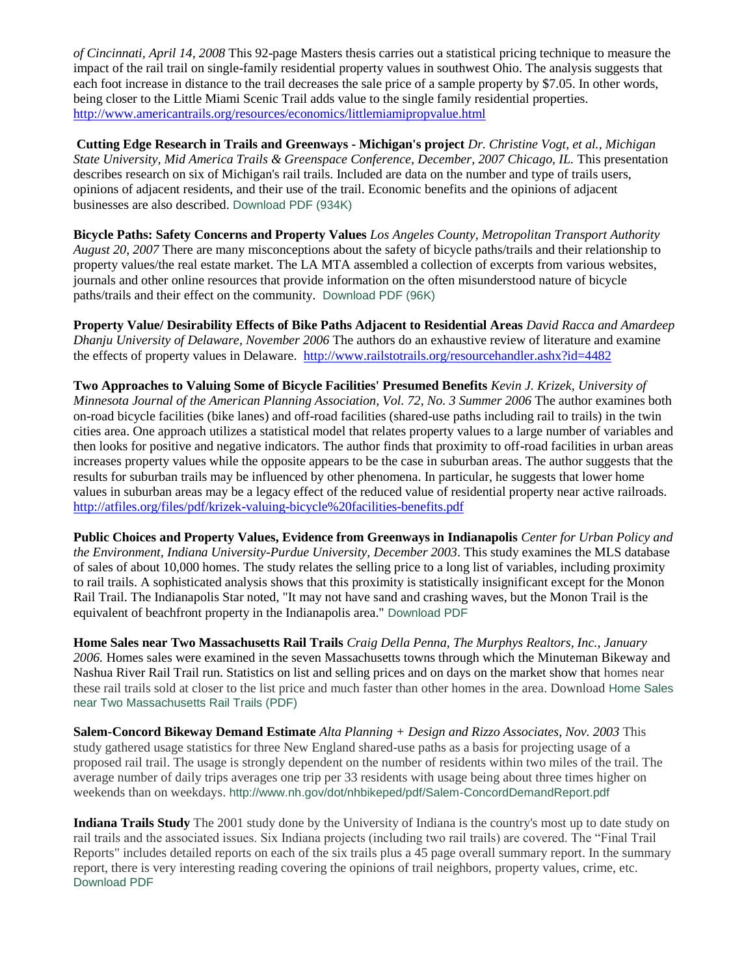*of Cincinnati, April 14, 2008* This 92-page Masters thesis carries out a statistical pricing technique to measure the impact of the rail trail on single-family residential property values in southwest Ohio. The analysis suggests that each foot increase in distance to the trail decreases the sale price of a sample property by \$7.05. In other words, being closer to the Little Miami Scenic Trail adds value to the single family residential properties. <http://www.americantrails.org/resources/economics/littlemiamipropvalue.html>

**Cutting Edge Research in Trails and Greenways - Michigan's project** *Dr. Christine Vogt, et al., Michigan State University, Mid America Trails & Greenspace Conference, December, 2007 Chicago, IL. This presentation* describes research on six of Michigan's rail trails. Included are data on the number and type of trails users, opinions of adjacent residents, and their use of the trail. Economic benefits and the opinions of adjacent businesses are also described. [Download PDF \(934K\)](http://www.brucefreemanrailtrail.org/pdf/Cutting-Edge-Research-in-Trails-and-Greenways-version-4.pdf)

**Bicycle Paths: Safety Concerns and Property Values** *Los Angeles County, Metropolitan Transport Authority August 20, 2007* There are many misconceptions about the safety of bicycle paths/trails and their relationship to property values/the real estate market. The LA MTA assembled a collection of excerpts from various websites, journals and other online resources that provide information on the often misunderstood nature of bicycle paths/trails and their effect on the community. [Download PDF \(96K\)](http://www.brucefreemanrailtrail.org/pdf/LA-Metro-Bike-paths-safety-property-values.pdf)

**Property Value/ Desirability Effects of Bike Paths Adjacent to Residential Areas** *David Racca and Amardeep Dhanju University of Delaware, November 2006* The authors do an exhaustive review of literature and examine the effects of property values in Delaware. <http://www.railstotrails.org/resourcehandler.ashx?id=4482>

**Two Approaches to Valuing Some of Bicycle Facilities' Presumed Benefits** *Kevin J. Krizek, University of Minnesota Journal of the American Planning Association, Vol. 72, No. 3 Summer 2006* The author examines both on-road bicycle facilities (bike lanes) and off-road facilities (shared-use paths including rail to trails) in the twin cities area. One approach utilizes a statistical model that relates property values to a large number of variables and then looks for positive and negative indicators. The author finds that proximity to off-road facilities in urban areas increases property values while the opposite appears to be the case in suburban areas. The author suggests that the results for suburban trails may be influenced by other phenomena. In particular, he suggests that lower home values in suburban areas may be a legacy effect of the reduced value of residential property near active railroads. <http://atfiles.org/files/pdf/krizek-valuing-bicycle%20facilities-benefits.pdf>

**Public Choices and Property Values, Evidence from Greenways in Indianapolis** *Center for Urban Policy and the Environment, Indiana University-Purdue University, December 2003*. This study examines the MLS database of sales of about 10,000 homes. The study relates the selling price to a long list of variables, including proximity to rail trails. A sophisticated analysis shows that this proximity is statistically insignificant except for the Monon Rail Trail. The Indianapolis Star noted, "It may not have sand and crashing waves, but the Monon Trail is the equivalent of beachfront property in the Indianapolis area." [Download PDF](http://www.brucefreemanrailtrail.org/pdf/lindseypropvalues.pdf)

**Home Sales near Two Massachusetts Rail Trails** *Craig Della Penna, The Murphys Realtors, Inc., January 2006.* Homes sales were examined in the seven Massachusetts towns through which the Minuteman Bikeway and Nashua River Rail Trail run. Statistics on list and selling prices and on days on the market show that homes near these rail trails sold at closer to the list price and much faster than other homes in the area. Download [Home Sales](http://www.brucefreemanrailtrail.org/pdf/Home_Sales_2006.pdf)  [near Two Massachusetts Rail Trails \(PDF\)](http://www.brucefreemanrailtrail.org/pdf/Home_Sales_2006.pdf) 

**Salem-Concord Bikeway Demand Estimate** *Alta Planning + Design and Rizzo Associates, Nov. 2003* This study gathered usage statistics for three New England shared-use paths as a basis for projecting usage of a proposed rail trail. The usage is strongly dependent on the number of residents within two miles of the trail. The average number of daily trips averages one trip per 33 residents with usage being about three times higher on weekends than on weekdays. <http://www.nh.gov/dot/nhbikeped/pdf/Salem-ConcordDemandReport.pdf>

**Indiana Trails Study** The 2001 study done by the University of Indiana is the country's most up to date study on rail trails and the associated issues. Six Indiana projects (including two rail trails) are covered. The "Final Trail Reports" includes detailed reports on each of the six trails plus a 45 page overall summary report. In the summary report, there is very interesting reading covering the opinions of trail neighbors, property values, crime, etc. [Download PDF](http://www.brucefreemanrailtrail.org/pdf/Indiana_Trails_2001.pdf)